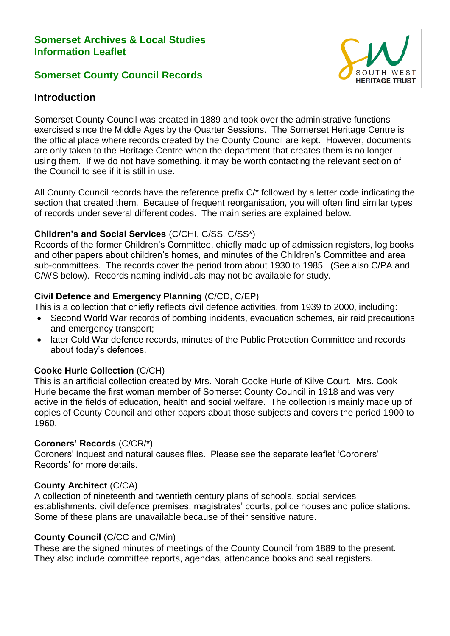## **Somerset Archives & Local Studies Information Leaflet**

## **Somerset County Council Records**



# **Introduction**

Somerset County Council was created in 1889 and took over the administrative functions exercised since the Middle Ages by the Quarter Sessions. The Somerset Heritage Centre is the official place where records created by the County Council are kept. However, documents are only taken to the Heritage Centre when the department that creates them is no longer using them. If we do not have something, it may be worth contacting the relevant section of the Council to see if it is still in use.

All County Council records have the reference prefix C/\* followed by a letter code indicating the section that created them. Because of frequent reorganisation, you will often find similar types of records under several different codes. The main series are explained below.

### **Children's and Social Services** (C/CHI, C/SS, C/SS\*)

Records of the former Children's Committee, chiefly made up of admission registers, log books and other papers about children's homes, and minutes of the Children's Committee and area sub-committees. The records cover the period from about 1930 to 1985. (See also C/PA and C/WS below). Records naming individuals may not be available for study.

## **Civil Defence and Emergency Planning** (C/CD, C/EP)

This is a collection that chiefly reflects civil defence activities, from 1939 to 2000, including:

- Second World War records of bombing incidents, evacuation schemes, air raid precautions and emergency transport;
- later Cold War defence records, minutes of the Public Protection Committee and records about today's defences.

## **Cooke Hurle Collection** (C/CH)

This is an artificial collection created by Mrs. Norah Cooke Hurle of Kilve Court. Mrs. Cook Hurle became the first woman member of Somerset County Council in 1918 and was very active in the fields of education, health and social welfare. The collection is mainly made up of copies of County Council and other papers about those subjects and covers the period 1900 to 1960.

## **Coroners' Records** (C/CR/\*)

Coroners' inquest and natural causes files. Please see the separate leaflet 'Coroners' Records' for more details.

#### **County Architect** (C/CA)

A collection of nineteenth and twentieth century plans of schools, social services establishments, civil defence premises, magistrates' courts, police houses and police stations. Some of these plans are unavailable because of their sensitive nature.

#### **County Council** (C/CC and C/Min)

These are the signed minutes of meetings of the County Council from 1889 to the present. They also include committee reports, agendas, attendance books and seal registers.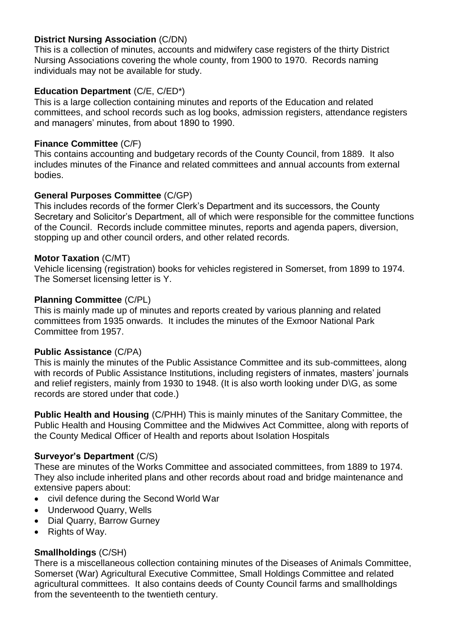## **District Nursing Association** (C/DN)

This is a collection of minutes, accounts and midwifery case registers of the thirty District Nursing Associations covering the whole county, from 1900 to 1970. Records naming individuals may not be available for study.

## **Education Department** (C/E, C/ED\*)

This is a large collection containing minutes and reports of the Education and related committees, and school records such as log books, admission registers, attendance registers and managers' minutes, from about 1890 to 1990.

## **Finance Committee** (C/F)

This contains accounting and budgetary records of the County Council, from 1889. It also includes minutes of the Finance and related committees and annual accounts from external bodies.

## **General Purposes Committee** (C/GP)

This includes records of the former Clerk's Department and its successors, the County Secretary and Solicitor's Department, all of which were responsible for the committee functions of the Council. Records include committee minutes, reports and agenda papers, diversion, stopping up and other council orders, and other related records.

### **Motor Taxation** (C/MT)

Vehicle licensing (registration) books for vehicles registered in Somerset, from 1899 to 1974. The Somerset licensing letter is Y.

### **Planning Committee** (C/PL)

This is mainly made up of minutes and reports created by various planning and related committees from 1935 onwards. It includes the minutes of the Exmoor National Park Committee from 1957.

## **Public Assistance** (C/PA)

This is mainly the minutes of the Public Assistance Committee and its sub-committees, along with records of Public Assistance Institutions, including registers of inmates, masters' journals and relief registers, mainly from 1930 to 1948. (It is also worth looking under D\G, as some records are stored under that code.)

**Public Health and Housing** (C/PHH) This is mainly minutes of the Sanitary Committee, the Public Health and Housing Committee and the Midwives Act Committee, along with reports of the County Medical Officer of Health and reports about Isolation Hospitals

## **Surveyor's Department** (C/S)

These are minutes of the Works Committee and associated committees, from 1889 to 1974. They also include inherited plans and other records about road and bridge maintenance and extensive papers about:

- civil defence during the Second World War
- Underwood Quarry, Wells
- Dial Quarry, Barrow Gurney
- Rights of Way.

## **Smallholdings** (C/SH)

There is a miscellaneous collection containing minutes of the Diseases of Animals Committee, Somerset (War) Agricultural Executive Committee, Small Holdings Committee and related agricultural committees. It also contains deeds of County Council farms and smallholdings from the seventeenth to the twentieth century.